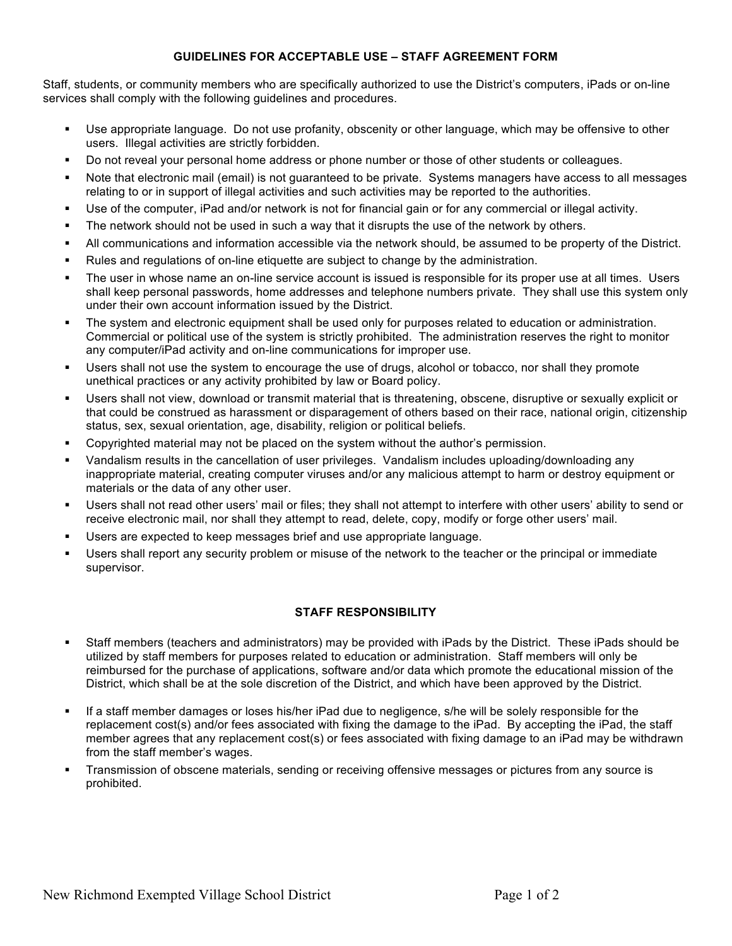## **GUIDELINES FOR ACCEPTABLE USE – STAFF AGREEMENT FORM**

Staff, students, or community members who are specifically authorized to use the District's computers, iPads or on-line services shall comply with the following guidelines and procedures.

- Use appropriate language. Do not use profanity, obscenity or other language, which may be offensive to other users. Illegal activities are strictly forbidden.
- Do not reveal your personal home address or phone number or those of other students or colleagues.
- Note that electronic mail (email) is not guaranteed to be private. Systems managers have access to all messages relating to or in support of illegal activities and such activities may be reported to the authorities.
- Use of the computer, iPad and/or network is not for financial gain or for any commercial or illegal activity.
- The network should not be used in such a way that it disrupts the use of the network by others.
- All communications and information accessible via the network should, be assumed to be property of the District.
- Rules and regulations of on-line etiquette are subject to change by the administration.
- The user in whose name an on-line service account is issued is responsible for its proper use at all times. Users shall keep personal passwords, home addresses and telephone numbers private. They shall use this system only under their own account information issued by the District.
- The system and electronic equipment shall be used only for purposes related to education or administration. Commercial or political use of the system is strictly prohibited. The administration reserves the right to monitor any computer/iPad activity and on-line communications for improper use.
- Users shall not use the system to encourage the use of drugs, alcohol or tobacco, nor shall they promote unethical practices or any activity prohibited by law or Board policy.
- Users shall not view, download or transmit material that is threatening, obscene, disruptive or sexually explicit or that could be construed as harassment or disparagement of others based on their race, national origin, citizenship status, sex, sexual orientation, age, disability, religion or political beliefs.
- Copyrighted material may not be placed on the system without the author's permission.
- Vandalism results in the cancellation of user privileges. Vandalism includes uploading/downloading any inappropriate material, creating computer viruses and/or any malicious attempt to harm or destroy equipment or materials or the data of any other user.
- Users shall not read other users' mail or files; they shall not attempt to interfere with other users' ability to send or receive electronic mail, nor shall they attempt to read, delete, copy, modify or forge other users' mail.
- Users are expected to keep messages brief and use appropriate language.
- Users shall report any security problem or misuse of the network to the teacher or the principal or immediate supervisor.

## **STAFF RESPONSIBILITY**

- Staff members (teachers and administrators) may be provided with iPads by the District. These iPads should be utilized by staff members for purposes related to education or administration. Staff members will only be reimbursed for the purchase of applications, software and/or data which promote the educational mission of the District, which shall be at the sole discretion of the District, and which have been approved by the District.
- If a staff member damages or loses his/her iPad due to negligence, s/he will be solely responsible for the replacement cost(s) and/or fees associated with fixing the damage to the iPad. By accepting the iPad, the staff member agrees that any replacement cost(s) or fees associated with fixing damage to an iPad may be withdrawn from the staff member's wages.
- Transmission of obscene materials, sending or receiving offensive messages or pictures from any source is prohibited.